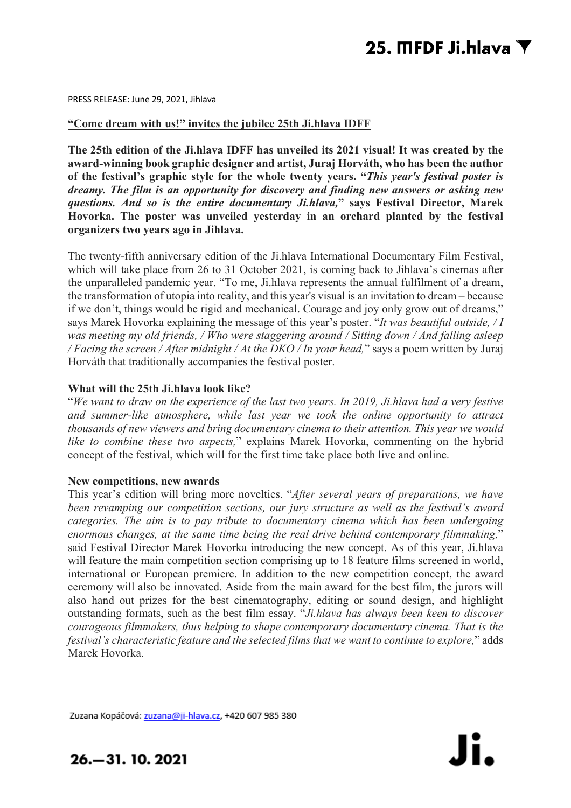PRESS RELEASE: June 29, 2021, Jihlava

### **"Come dream with us!" invites the jubilee 25th Ji.hlava IDFF**

**The 25th edition of the Ji.hlava IDFF has unveiled its 2021 visual! It was created by the award-winning book graphic designer and artist, Juraj Horváth, who has been the author of the festival's graphic style for the whole twenty years. "***This year's festival poster is dreamy. The film is an opportunity for discovery and finding new answers or asking new questions. And so is the entire documentary Ji.hlava,***" says Festival Director, Marek Hovorka. The poster was unveiled yesterday in an orchard planted by the festival organizers two years ago in Jihlava.**

The twenty-fifth anniversary edition of the Ji.hlava International Documentary Film Festival, which will take place from 26 to 31 October 2021, is coming back to Jihlava's cinemas after the unparalleled pandemic year. "To me, Ji.hlava represents the annual fulfilment of a dream, the transformation of utopia into reality, and this year's visual is an invitation to dream – because if we don't, things would be rigid and mechanical. Courage and joy only grow out of dreams," says Marek Hovorka explaining the message of this year's poster. "*It was beautiful outside, / I was meeting my old friends, / Who were staggering around / Sitting down / And falling asleep / Facing the screen / After midnight / At the DKO / In your head,*" says a poem written by Juraj Horváth that traditionally accompanies the festival poster.

## **What will the 25th Ji.hlava look like?**

"*We want to draw on the experience of the last two years. In 2019, Ji.hlava had a very festive and summer-like atmosphere, while last year we took the online opportunity to attract thousands of new viewers and bring documentary cinema to their attention. This year we would like to combine these two aspects,*" explains Marek Hovorka, commenting on the hybrid concept of the festival, which will for the first time take place both live and online.

### **New competitions, new awards**

This year's edition will bring more novelties. "*After several years of preparations, we have been revamping our competition sections, our jury structure as well as the festival's award categories. The aim is to pay tribute to documentary cinema which has been undergoing enormous changes, at the same time being the real drive behind contemporary filmmaking,*" said Festival Director Marek Hovorka introducing the new concept. As of this year, Ji.hlava will feature the main competition section comprising up to 18 feature films screened in world, international or European premiere. In addition to the new competition concept, the award ceremony will also be innovated. Aside from the main award for the best film, the jurors will also hand out prizes for the best cinematography, editing or sound design, and highlight outstanding formats, such as the best film essay. "*Ji.hlava has always been keen to discover courageous filmmakers, thus helping to shape contemporary documentary cinema. That is the festival's characteristic feature and the selected films that we want to continue to explore,*" adds Marek Hovorka.

Zuzana Kopáčová: zuzana@ji-hlava.cz, +420 607 985 380